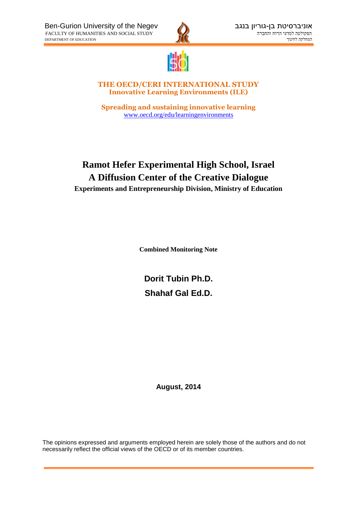



**THE OECD/CERI INTERNATIONAL STUDY Innovative Learning Environments (ILE)**

**Spreading and sustaining innovative learning** [www.oecd.org/edu/learningenvironments](http://www.oecd.org/edu/learningenvironments)

# **Ramot Hefer Experimental High School, Israel A Diffusion Center of the Creative Dialogue Experiments and Entrepreneurship Division, Ministry of Education**

**Combined Monitoring Note**

**Dorit Tubin Ph.D. Shahaf Gal Ed.D.**

**August, 2014**

The opinions expressed and arguments employed herein are solely those of the authors and do not necessarily reflect the official views of the OECD or of its member countries.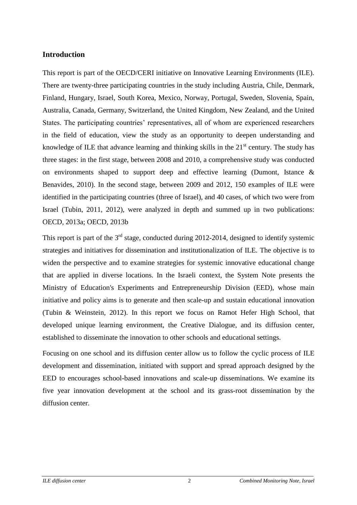## **Introduction**

This report is part of the OECD/CERI initiative on Innovative Learning Environments (ILE). There are twenty-three participating countries in the study including Austria, Chile, Denmark, Finland, Hungary, Israel, South Korea, Mexico, Norway, Portugal, Sweden, Slovenia, Spain, Australia, Canada, Germany, Switzerland, the United Kingdom, New Zealand, and the United States. The participating countries' representatives, all of whom are experienced researchers in the field of education, view the study as an opportunity to deepen understanding and knowledge of ILE that advance learning and thinking skills in the  $21<sup>st</sup>$  century. The study has three stages: in the first stage, between 2008 and 2010, a comprehensive study was conducted on environments shaped to support deep and effective learning (Dumont, Istance & Benavides, 2010). In the second stage, between 2009 and 2012, 150 examples of ILE were identified in the participating countries (three of Israel), and 40 cases, of which two were from Israel (Tubin, 2011, 2012), were analyzed in depth and summed up in two publications: OECD, 2013a; OECD, 2013b

This report is part of the  $3<sup>rd</sup>$  stage, conducted during 2012-2014, designed to identify systemic strategies and initiatives for dissemination and institutionalization of ILE. The objective is to widen the perspective and to examine strategies for systemic innovative educational change that are applied in diverse locations. In the Israeli context, the System Note presents the Ministry of Education's Experiments and Entrepreneurship Division (EED), whose main initiative and policy aims is to generate and then scale-up and sustain educational innovation (Tubin & Weinstein, 2012). In this report we focus on Ramot Hefer High School, that developed unique learning environment, the Creative Dialogue, and its diffusion center, established to disseminate the innovation to other schools and educational settings.

Focusing on one school and its diffusion center allow us to follow the cyclic process of ILE development and dissemination, initiated with support and spread approach designed by the EED to encourages school-based innovations and scale-up disseminations. We examine its five year innovation development at the school and its grass-root dissemination by the diffusion center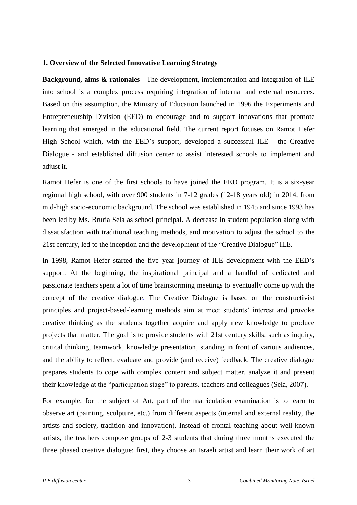#### **1. Overview of the Selected Innovative Learning Strategy**

**Background, aims & rationales -** The development, implementation and integration of ILE into school is a complex process requiring integration of internal and external resources. Based on this assumption, the Ministry of Education launched in 1996 the Experiments and Entrepreneurship Division (EED) to encourage and to support innovations that promote learning that emerged in the educational field. The current report focuses on Ramot Hefer High School which, with the EED's support, developed a successful ILE - the Creative Dialogue - and established diffusion center to assist interested schools to implement and adjust it.

Ramot Hefer is one of the first schools to have joined the EED program. It is a six-year regional high school, with over 900 students in 7-12 grades (12-18 years old) in 2014, from mid-high socio-economic background. The school was established in 1945 and since 1993 has been led by Ms. Bruria Sela as school principal. A decrease in student population along with dissatisfaction with traditional teaching methods, and motivation to adjust the school to the 21st century, led to the inception and the development of the "Creative Dialogue" ILE.

In 1998, Ramot Hefer started the five year journey of ILE development with the EED's support. At the beginning, the inspirational principal and a handful of dedicated and passionate teachers spent a lot of time brainstorming meetings to eventually come up with the concept of the creative dialogue. The Creative Dialogue is based on the constructivist principles and project-based-learning methods aim at meet students' interest and provoke creative thinking as the students together acquire and apply new knowledge to produce projects that matter. The goal is to provide students with 21st century skills, such as inquiry, critical thinking, teamwork, knowledge presentation, standing in front of various audiences, and the ability to reflect, evaluate and provide (and receive) feedback. The creative dialogue prepares students to cope with complex content and subject matter, analyze it and present their knowledge at the "participation stage" to parents, teachers and colleagues (Sela, 2007).

For example, for the subject of Art, part of the matriculation examination is to learn to observe art (painting, sculpture, etc.) from different aspects (internal and external reality, the artists and society, tradition and innovation). Instead of frontal teaching about well-known artists, the teachers compose groups of 2-3 students that during three months executed the three phased creative dialogue: first, they choose an Israeli artist and learn their work of art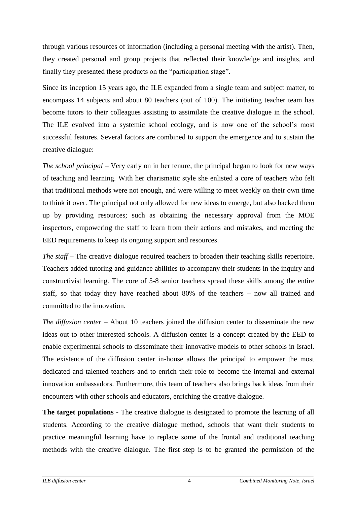through various resources of information (including a personal meeting with the artist). Then, they created personal and group projects that reflected their knowledge and insights, and finally they presented these products on the "participation stage".

Since its inception 15 years ago, the ILE expanded from a single team and subject matter, to encompass 14 subjects and about 80 teachers (out of 100). The initiating teacher team has become tutors to their colleagues assisting to assimilate the creative dialogue in the school. The ILE evolved into a systemic school ecology, and is now one of the school's most successful features. Several factors are combined to support the emergence and to sustain the creative dialogue:

*The school principal* – Very early on in her tenure, the principal began to look for new ways of teaching and learning. With her charismatic style she enlisted a core of teachers who felt that traditional methods were not enough, and were willing to meet weekly on their own time to think it over. The principal not only allowed for new ideas to emerge, but also backed them up by providing resources; such as obtaining the necessary approval from the MOE inspectors, empowering the staff to learn from their actions and mistakes, and meeting the EED requirements to keep its ongoing support and resources.

*The staff* – The creative dialogue required teachers to broaden their teaching skills repertoire. Teachers added tutoring and guidance abilities to accompany their students in the inquiry and constructivist learning. The core of 5-8 senior teachers spread these skills among the entire staff, so that today they have reached about 80% of the teachers – now all trained and committed to the innovation.

*The diffusion center* – About 10 teachers joined the diffusion center to disseminate the new ideas out to other interested schools. A diffusion center is a concept created by the EED to enable experimental schools to disseminate their innovative models to other schools in Israel. The existence of the diffusion center in-house allows the principal to empower the most dedicated and talented teachers and to enrich their role to become the internal and external innovation ambassadors. Furthermore, this team of teachers also brings back ideas from their encounters with other schools and educators, enriching the creative dialogue.

**The target populations** - The creative dialogue is designated to promote the learning of all students. According to the creative dialogue method, schools that want their students to practice meaningful learning have to replace some of the frontal and traditional teaching methods with the creative dialogue. The first step is to be granted the permission of the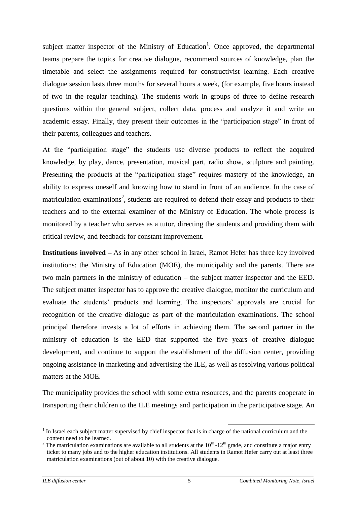subject matter inspector of the Ministry of Education<sup>1</sup>. Once approved, the departmental teams prepare the topics for creative dialogue, recommend sources of knowledge, plan the timetable and select the assignments required for constructivist learning. Each creative dialogue session lasts three months for several hours a week, (for example, five hours instead of two in the regular teaching). The students work in groups of three to define research questions within the general subject, collect data, process and analyze it and write an academic essay. Finally, they present their outcomes in the "participation stage" in front of their parents, colleagues and teachers.

At the "participation stage" the students use diverse products to reflect the acquired knowledge, by play, dance, presentation, musical part, radio show, sculpture and painting. Presenting the products at the "participation stage" requires mastery of the knowledge, an ability to express oneself and knowing how to stand in front of an audience. In the case of matriculation examinations<sup>2</sup>, students are required to defend their essay and products to their teachers and to the external examiner of the Ministry of Education. The whole process is monitored by a teacher who serves as a tutor, directing the students and providing them with critical review, and feedback for constant improvement.

**Institutions involved –** As in any other school in Israel, Ramot Hefer has three key involved institutions: the Ministry of Education (MOE), the municipality and the parents. There are two main partners in the ministry of education – the subject matter inspector and the EED. The subject matter inspector has to approve the creative dialogue, monitor the curriculum and evaluate the students' products and learning. The inspectors' approvals are crucial for recognition of the creative dialogue as part of the matriculation examinations. The school principal therefore invests a lot of efforts in achieving them. The second partner in the ministry of education is the EED that supported the five years of creative dialogue development, and continue to support the establishment of the diffusion center, providing ongoing assistance in marketing and advertising the ILE, as well as resolving various political matters at the MOE.

The municipality provides the school with some extra resources, and the parents cooperate in transporting their children to the ILE meetings and participation in the participative stage. An

<sup>&</sup>lt;u>.</u>  $1$  In Israel each subject matter supervised by chief inspector that is in charge of the national curriculum and the content need to be learned.

<sup>&</sup>lt;sup>2</sup> The matriculation examinations are available to all students at the  $10^{th}$ -12<sup>th</sup> grade, and constitute a major entry ticket to many jobs and to the higher education institutions. All students in Ramot Hefer carry out at least three matriculation examinations (out of about 10) with the creative dialogue.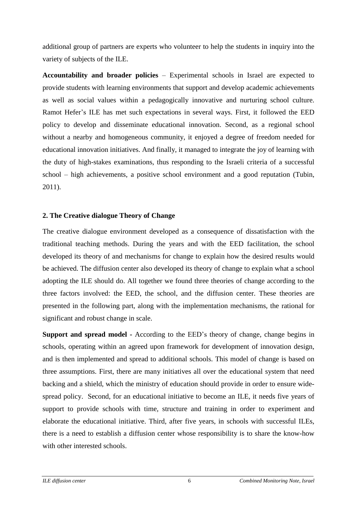additional group of partners are experts who volunteer to help the students in inquiry into the variety of subjects of the ILE.

**Accountability and broader policies** – Experimental schools in Israel are expected to provide students with learning environments that support and develop academic achievements as well as social values within a pedagogically innovative and nurturing school culture. Ramot Hefer's ILE has met such expectations in several ways. First, it followed the EED policy to develop and disseminate educational innovation. Second, as a regional school without a nearby and homogeneous community, it enjoyed a degree of freedom needed for educational innovation initiatives. And finally, it managed to integrate the joy of learning with the duty of high-stakes examinations, thus responding to the Israeli criteria of a successful school – high achievements, a positive school environment and a good reputation (Tubin, 2011).

### **2. The Creative dialogue Theory of Change**

The creative dialogue environment developed as a consequence of dissatisfaction with the traditional teaching methods. During the years and with the EED facilitation, the school developed its theory of and mechanisms for change to explain how the desired results would be achieved. The diffusion center also developed its theory of change to explain what a school adopting the ILE should do. All together we found three theories of change according to the three factors involved: the EED, the school, and the diffusion center. These theories are presented in the following part, along with the implementation mechanisms, the rational for significant and robust change in scale.

**Support and spread model -** According to the EED's theory of change, change begins in schools, operating within an agreed upon framework for development of innovation design, and is then implemented and spread to additional schools. This model of change is based on three assumptions. First, there are many initiatives all over the educational system that need backing and a shield, which the ministry of education should provide in order to ensure widespread policy. Second, for an educational initiative to become an ILE, it needs five years of support to provide schools with time, structure and training in order to experiment and elaborate the educational initiative. Third, after five years, in schools with successful ILEs, there is a need to establish a diffusion center whose responsibility is to share the know-how with other interested schools.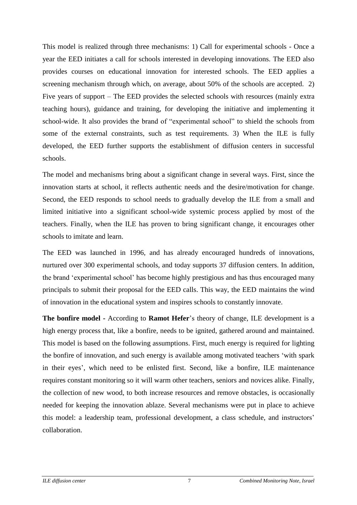This model is realized through three mechanisms: 1) Call for experimental schools - Once a year the EED initiates a call for schools interested in developing innovations. The EED also provides courses on educational innovation for interested schools. The EED applies a screening mechanism through which, on average, about 50% of the schools are accepted. 2) Five years of support – The EED provides the selected schools with resources (mainly extra teaching hours), guidance and training, for developing the initiative and implementing it school-wide. It also provides the brand of "experimental school" to shield the schools from some of the external constraints, such as test requirements. 3) When the ILE is fully developed, the EED further supports the establishment of diffusion centers in successful schools.

The model and mechanisms bring about a significant change in several ways. First, since the innovation starts at school, it reflects authentic needs and the desire/motivation for change. Second, the EED responds to school needs to gradually develop the ILE from a small and limited initiative into a significant school-wide systemic process applied by most of the teachers. Finally, when the ILE has proven to bring significant change, it encourages other schools to imitate and learn.

The EED was launched in 1996, and has already encouraged hundreds of innovations, nurtured over 300 experimental schools, and today supports 37 diffusion centers. In addition, the brand 'experimental school' has become highly prestigious and has thus encouraged many principals to submit their proposal for the EED calls. This way, the EED maintains the wind of innovation in the educational system and inspires schools to constantly innovate.

**The bonfire model -** According to **Ramot Hefer**'s theory of change, ILE development is a high energy process that, like a bonfire, needs to be ignited, gathered around and maintained. This model is based on the following assumptions. First, much energy is required for lighting the bonfire of innovation, and such energy is available among motivated teachers 'with spark in their eyes', which need to be enlisted first. Second, like a bonfire, ILE maintenance requires constant monitoring so it will warm other teachers, seniors and novices alike. Finally, the collection of new wood, to both increase resources and remove obstacles, is occasionally needed for keeping the innovation ablaze. Several mechanisms were put in place to achieve this model: a leadership team, professional development, a class schedule, and instructors' collaboration.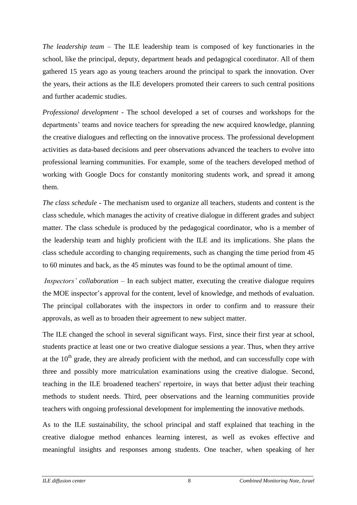*The leadership team* – The ILE leadership team is composed of key functionaries in the school, like the principal, deputy, department heads and pedagogical coordinator. All of them gathered 15 years ago as young teachers around the principal to spark the innovation. Over the years, their actions as the ILE developers promoted their careers to such central positions and further academic studies.

*Professional development* - The school developed a set of courses and workshops for the departments' teams and novice teachers for spreading the new acquired knowledge, planning the creative dialogues and reflecting on the innovative process. The professional development activities as data-based decisions and peer observations advanced the teachers to evolve into professional learning communities. For example, some of the teachers developed method of working with Google Docs for constantly monitoring students work, and spread it among them.

*The class schedule* - The mechanism used to organize all teachers, students and content is the class schedule, which manages the activity of creative dialogue in different grades and subject matter. The class schedule is produced by the pedagogical coordinator, who is a member of the leadership team and highly proficient with the ILE and its implications. She plans the class schedule according to changing requirements, such as changing the time period from 45 to 60 minutes and back, as the 45 minutes was found to be the optimal amount of time.

*Inspectors' collaboration* – In each subject matter, executing the creative dialogue requires the MOE inspector's approval for the content, level of knowledge, and methods of evaluation. The principal collaborates with the inspectors in order to confirm and to reassure their approvals, as well as to broaden their agreement to new subject matter.

The ILE changed the school in several significant ways. First, since their first year at school, students practice at least one or two creative dialogue sessions a year. Thus, when they arrive at the  $10<sup>th</sup>$  grade, they are already proficient with the method, and can successfully cope with three and possibly more matriculation examinations using the creative dialogue. Second, teaching in the ILE broadened teachers' repertoire, in ways that better adjust their teaching methods to student needs. Third, peer observations and the learning communities provide teachers with ongoing professional development for implementing the innovative methods.

As to the ILE sustainability, the school principal and staff explained that teaching in the creative dialogue method enhances learning interest, as well as evokes effective and meaningful insights and responses among students. One teacher, when speaking of her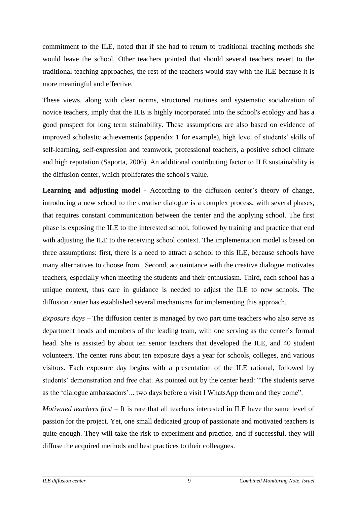commitment to the ILE, noted that if she had to return to traditional teaching methods she would leave the school. Other teachers pointed that should several teachers revert to the traditional teaching approaches, the rest of the teachers would stay with the ILE because it is more meaningful and effective.

These views, along with clear norms, structured routines and systematic socialization of novice teachers, imply that the ILE is highly incorporated into the school's ecology and has a good prospect for long term stainability. These assumptions are also based on evidence of improved scholastic achievements (appendix 1 for example), high level of students' skills of self-learning, self-expression and teamwork, professional teachers, a positive school climate and high reputation (Saporta, 2006). An additional contributing factor to ILE sustainability is the diffusion center, which proliferates the school's value.

**Learning and adjusting model** - According to the diffusion center's theory of change, introducing a new school to the creative dialogue is a complex process, with several phases, that requires constant communication between the center and the applying school. The first phase is exposing the ILE to the interested school, followed by training and practice that end with adjusting the ILE to the receiving school context. The implementation model is based on three assumptions: first, there is a need to attract a school to this ILE, because schools have many alternatives to choose from. Second, acquaintance with the creative dialogue motivates teachers, especially when meeting the students and their enthusiasm. Third, each school has a unique context, thus care in guidance is needed to adjust the ILE to new schools. The diffusion center has established several mechanisms for implementing this approach.

*Exposure days* – The diffusion center is managed by two part time teachers who also serve as department heads and members of the leading team, with one serving as the center's formal head. She is assisted by about ten senior teachers that developed the ILE, and 40 student volunteers. The center runs about ten exposure days a year for schools, colleges, and various visitors. Each exposure day begins with a presentation of the ILE rational, followed by students' demonstration and free chat. As pointed out by the center head: "The students serve as the 'dialogue ambassadors'... two days before a visit I WhatsApp them and they come".

*Motivated teachers first* – It is rare that all teachers interested in ILE have the same level of passion for the project. Yet, one small dedicated group of passionate and motivated teachers is quite enough. They will take the risk to experiment and practice, and if successful, they will diffuse the acquired methods and best practices to their colleagues.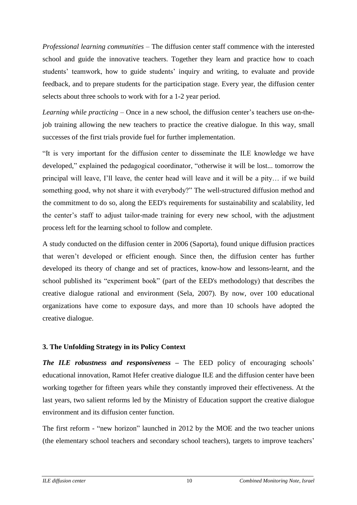*Professional learning communities* – The diffusion center staff commence with the interested school and guide the innovative teachers. Together they learn and practice how to coach students' teamwork, how to guide students' inquiry and writing, to evaluate and provide feedback, and to prepare students for the participation stage. Every year, the diffusion center selects about three schools to work with for a 1-2 year period.

*Learning while practicing* – Once in a new school, the diffusion center's teachers use on-thejob training allowing the new teachers to practice the creative dialogue. In this way, small successes of the first trials provide fuel for further implementation.

"It is very important for the diffusion center to disseminate the ILE knowledge we have developed," explained the pedagogical coordinator, "otherwise it will be lost... tomorrow the principal will leave, I'll leave, the center head will leave and it will be a pity… if we build something good, why not share it with everybody?" The well-structured diffusion method and the commitment to do so, along the EED's requirements for sustainability and scalability, led the center's staff to adjust tailor-made training for every new school, with the adjustment process left for the learning school to follow and complete.

A study conducted on the diffusion center in 2006 (Saporta), found unique diffusion practices that weren't developed or efficient enough. Since then, the diffusion center has further developed its theory of change and set of practices, know-how and lessons-learnt, and the school published its "experiment book" (part of the EED's methodology) that describes the creative dialogue rational and environment (Sela, 2007). By now, over 100 educational organizations have come to exposure days, and more than 10 schools have adopted the creative dialogue.

## **3. The Unfolding Strategy in its Policy Context**

*The ILE robustness and responsiveness –* The EED policy of encouraging schools' educational innovation, Ramot Hefer creative dialogue ILE and the diffusion center have been working together for fifteen years while they constantly improved their effectiveness. At the last years, two salient reforms led by the Ministry of Education support the creative dialogue environment and its diffusion center function.

The first reform - "new horizon" launched in 2012 by the MOE and the two teacher unions (the elementary school teachers and secondary school teachers), targets to improve teachers'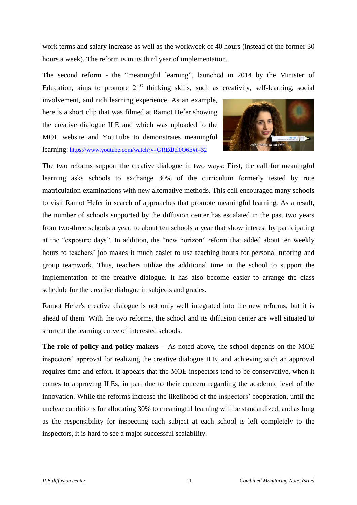work terms and salary increase as well as the workweek of 40 hours (instead of the former 30 hours a week). The reform is in its third year of implementation.

The second reform - the "meaningful learning", launched in 2014 by the Minister of Education, aims to promote  $21<sup>st</sup>$  thinking skills, such as creativity, self-learning, social

involvement, and rich learning experience. As an example, here is a short clip that was filmed at Ramot Hefer showing the creative dialogue ILE and which was uploaded to the MOE website and YouTube to demonstrates meaningful learning: <https://www.youtube.com/watch?v=GREdJcl0O6E#t=32>



The two reforms support the creative dialogue in two ways: First, the call for meaningful learning asks schools to exchange 30% of the curriculum formerly tested by rote matriculation examinations with new alternative methods. This call encouraged many schools to visit Ramot Hefer in search of approaches that promote meaningful learning. As a result, the number of schools supported by the diffusion center has escalated in the past two years from two-three schools a year, to about ten schools a year that show interest by participating at the "exposure days". In addition, the "new horizon" reform that added about ten weekly hours to teachers' job makes it much easier to use teaching hours for personal tutoring and group teamwork. Thus, teachers utilize the additional time in the school to support the implementation of the creative dialogue. It has also become easier to arrange the class schedule for the creative dialogue in subjects and grades.

Ramot Hefer's creative dialogue is not only well integrated into the new reforms, but it is ahead of them. With the two reforms, the school and its diffusion center are well situated to shortcut the learning curve of interested schools.

**The role of policy and policy-makers** – As noted above, the school depends on the MOE inspectors' approval for realizing the creative dialogue ILE, and achieving such an approval requires time and effort. It appears that the MOE inspectors tend to be conservative, when it comes to approving ILEs, in part due to their concern regarding the academic level of the innovation. While the reforms increase the likelihood of the inspectors' cooperation, until the unclear conditions for allocating 30% to meaningful learning will be standardized, and as long as the responsibility for inspecting each subject at each school is left completely to the inspectors, it is hard to see a major successful scalability.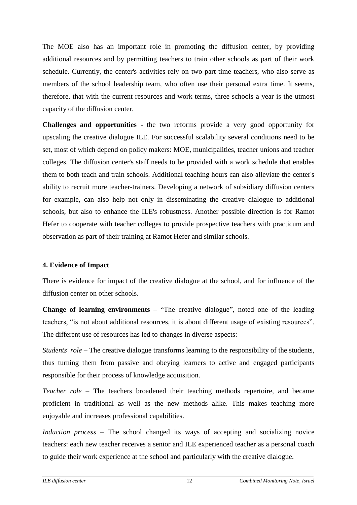The MOE also has an important role in promoting the diffusion center, by providing additional resources and by permitting teachers to train other schools as part of their work schedule. Currently, the center's activities rely on two part time teachers, who also serve as members of the school leadership team, who often use their personal extra time. It seems, therefore, that with the current resources and work terms, three schools a year is the utmost capacity of the diffusion center.

**Challenges and opportunities** - the two reforms provide a very good opportunity for upscaling the creative dialogue ILE. For successful scalability several conditions need to be set, most of which depend on policy makers: MOE, municipalities, teacher unions and teacher colleges. The diffusion center's staff needs to be provided with a work schedule that enables them to both teach and train schools. Additional teaching hours can also alleviate the center's ability to recruit more teacher-trainers. Developing a network of subsidiary diffusion centers for example, can also help not only in disseminating the creative dialogue to additional schools, but also to enhance the ILE's robustness. Another possible direction is for Ramot Hefer to cooperate with teacher colleges to provide prospective teachers with practicum and observation as part of their training at Ramot Hefer and similar schools.

## **4. Evidence of Impact**

There is evidence for impact of the creative dialogue at the school, and for influence of the diffusion center on other schools.

**Change of learning environments** – "The creative dialogue", noted one of the leading teachers, "is not about additional resources, it is about different usage of existing resources". The different use of resources has led to changes in diverse aspects:

*Students' role* – The creative dialogue transforms learning to the responsibility of the students, thus turning them from passive and obeying learners to active and engaged participants responsible for their process of knowledge acquisition.

*Teacher role* – The teachers broadened their teaching methods repertoire, and became proficient in traditional as well as the new methods alike. This makes teaching more enjoyable and increases professional capabilities.

*Induction process* – The school changed its ways of accepting and socializing novice teachers: each new teacher receives a senior and ILE experienced teacher as a personal coach to guide their work experience at the school and particularly with the creative dialogue.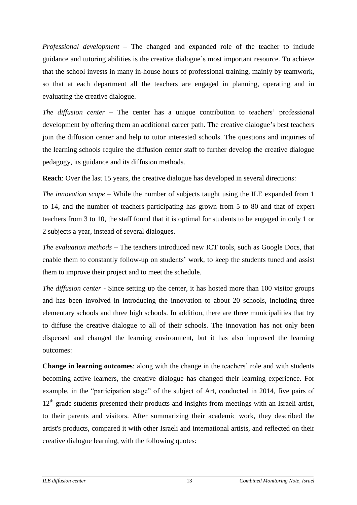*Professional development* – The changed and expanded role of the teacher to include guidance and tutoring abilities is the creative dialogue's most important resource. To achieve that the school invests in many in-house hours of professional training, mainly by teamwork, so that at each department all the teachers are engaged in planning, operating and in evaluating the creative dialogue.

*The diffusion center* – The center has a unique contribution to teachers' professional development by offering them an additional career path. The creative dialogue's best teachers join the diffusion center and help to tutor interested schools. The questions and inquiries of the learning schools require the diffusion center staff to further develop the creative dialogue pedagogy, its guidance and its diffusion methods.

**Reach**: Over the last 15 years, the creative dialogue has developed in several directions:

*The innovation scope* – While the number of subjects taught using the ILE expanded from 1 to 14, and the number of teachers participating has grown from 5 to 80 and that of expert teachers from 3 to 10, the staff found that it is optimal for students to be engaged in only 1 or 2 subjects a year, instead of several dialogues.

*The evaluation methods* – The teachers introduced new ICT tools, such as Google Docs, that enable them to constantly follow-up on students' work, to keep the students tuned and assist them to improve their project and to meet the schedule.

*The diffusion center* - Since setting up the center, it has hosted more than 100 visitor groups and has been involved in introducing the innovation to about 20 schools, including three elementary schools and three high schools. In addition, there are three municipalities that try to diffuse the creative dialogue to all of their schools. The innovation has not only been dispersed and changed the learning environment, but it has also improved the learning outcomes:

**Change in learning outcomes**: along with the change in the teachers' role and with students becoming active learners, the creative dialogue has changed their learning experience. For example, in the "participation stage" of the subject of Art, conducted in 2014, five pairs of  $12<sup>th</sup>$  grade students presented their products and insights from meetings with an Israeli artist, to their parents and visitors. After summarizing their academic work, they described the artist's products, compared it with other Israeli and international artists, and reflected on their creative dialogue learning, with the following quotes: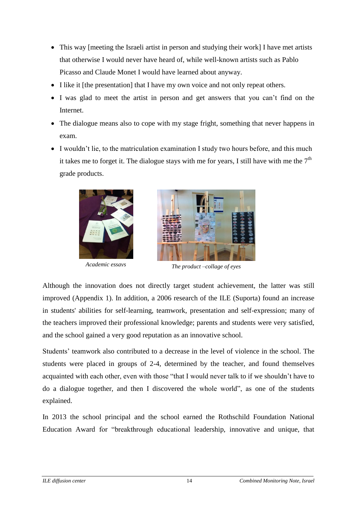- This way [meeting the Israeli artist in person and studying their work] I have met artists that otherwise I would never have heard of, while well-known artists such as Pablo Picasso and Claude Monet I would have learned about anyway.
- I like it [the presentation] that I have my own voice and not only repeat others.
- I was glad to meet the artist in person and get answers that you can't find on the Internet.
- The dialogue means also to cope with my stage fright, something that never happens in exam.
- I wouldn't lie, to the matriculation examination I study two hours before, and this much it takes me to forget it. The dialogue stays with me for years, I still have with me the  $7<sup>th</sup>$ grade products.





*Academic essays The product –collage of eyes* 

Although the innovation does not directly target student achievement, the latter was still improved (Appendix 1). In addition, a 2006 research of the ILE (Suporta) found an increase in students' abilities for self-learning, teamwork, presentation and self-expression; many of the teachers improved their professional knowledge; parents and students were very satisfied, and the school gained a very good reputation as an innovative school.

Students' teamwork also contributed to a decrease in the level of violence in the school. The students were placed in groups of 2-4, determined by the teacher, and found themselves acquainted with each other, even with those "that I would never talk to if we shouldn't have to do a dialogue together, and then I discovered the whole world", as one of the students explained.

In 2013 the school principal and the school earned the Rothschild Foundation National Education Award for "breakthrough educational leadership, innovative and unique, that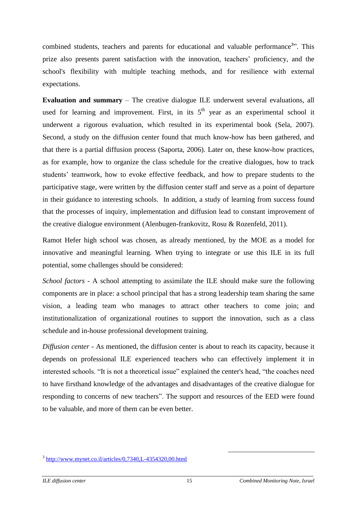combined students, teachers and parents for educational and valuable performance<sup>3</sup>". This prize also presents parent satisfaction with the innovation, teachers' proficiency, and the school's flexibility with multiple teaching methods, and for resilience with external expectations.

**Evaluation and summary** – The creative dialogue ILE underwent several evaluations, all used for learning and improvement. First, in its  $5<sup>th</sup>$  year as an experimental school it underwent a rigorous evaluation, which resulted in its experimental book (Sela, 2007). Second, a study on the diffusion center found that much know-how has been gathered, and that there is a partial diffusion process (Saporta, 2006). Later on, these know-how practices, as for example, how to organize the class schedule for the creative dialogues, how to track students' teamwork, how to evoke effective feedback, and how to prepare students to the participative stage, were written by the diffusion center staff and serve as a point of departure in their guidance to interesting schools. In addition, a study of learning from success found that the processes of inquiry, implementation and diffusion lead to constant improvement of the creative dialogue environment (Alenbugen-frankovitz, Rosu & Rozenfeld, 2011).

Ramot Hefer high school was chosen, as already mentioned, by the MOE as a model for innovative and meaningful learning. When trying to integrate or use this ILE in its full potential, some challenges should be considered:

*School factors* - A school attempting to assimilate the ILE should make sure the following components are in place: a school principal that has a strong leadership team sharing the same vision, a leading team who manages to attract other teachers to come join; and institutionalization of organizational routines to support the innovation, such as a class schedule and in-house professional development training.

*Diffusion center* - As mentioned, the diffusion center is about to reach its capacity, because it depends on professional ILE experienced teachers who can effectively implement it in interested schools. "It is not a theoretical issue" explained the center's head, "the coaches need to have firsthand knowledge of the advantages and disadvantages of the creative dialogue for responding to concerns of new teachers". The support and resources of the EED were found to be valuable, and more of them can be even better.

1

<sup>&</sup>lt;sup>[3](http://www.mynet.co.il/articles/0,7340,L-4354320,00.html)</sup> <http://www.mynet.co.il/articles/0,7340,L-4354320,00.html>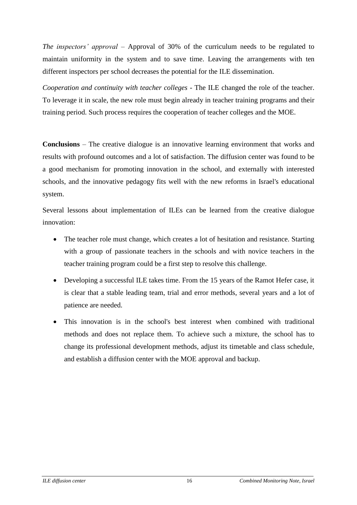*The inspectors' approval* – Approval of 30% of the curriculum needs to be regulated to maintain uniformity in the system and to save time. Leaving the arrangements with ten different inspectors per school decreases the potential for the ILE dissemination.

*Cooperation and continuity with teacher colleges -* The ILE changed the role of the teacher. To leverage it in scale, the new role must begin already in teacher training programs and their training period. Such process requires the cooperation of teacher colleges and the MOE.

**Conclusions** – The creative dialogue is an innovative learning environment that works and results with profound outcomes and a lot of satisfaction. The diffusion center was found to be a good mechanism for promoting innovation in the school, and externally with interested schools, and the innovative pedagogy fits well with the new reforms in Israel's educational system.

Several lessons about implementation of ILEs can be learned from the creative dialogue innovation:

- The teacher role must change, which creates a lot of hesitation and resistance. Starting with a group of passionate teachers in the schools and with novice teachers in the teacher training program could be a first step to resolve this challenge.
- Developing a successful ILE takes time. From the 15 years of the Ramot Hefer case, it is clear that a stable leading team, trial and error methods, several years and a lot of patience are needed.
- This innovation is in the school's best interest when combined with traditional methods and does not replace them. To achieve such a mixture, the school has to change its professional development methods, adjust its timetable and class schedule, and establish a diffusion center with the MOE approval and backup.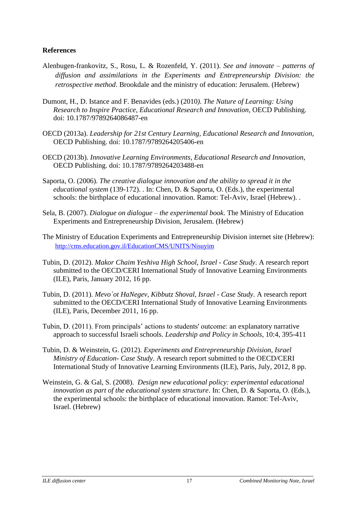### **References**

- Alenbugen-frankovitz, S., Rosu, L. & Rozenfeld, Y. (2011). *See and innovate – patterns of diffusion and assimilations in the Experiments and Entrepreneurship Division: the retrospective method*. Brookdale and the ministry of education: Jerusalem. (Hebrew)
- Dumont, H., D. Istance and F. Benavides (eds.) (2010*). The Nature of Learning: Using Research to Inspire Practice, Educational Research and Innovation*, OECD Publishing. doi: [10.1787/9789264086487-en](http://dx.doi.org/10.1787/9789264086487-en)
- OECD (2013a). *Leadership for 21st Century Learning, Educational Research and Innovation*, OECD Publishing. doi: [10.1787/9789264205406-en](http://dx.doi.org/10.1787/9789264205406-en)
- OECD (2013b). *Innovative Learning Environments, Educational Research and Innovation*, OECD Publishing. doi: [10.1787/9789264203488-en](http://dx.doi.org/10.1787/9789264203488-en)
- Saporta, O. (2006). *The creative dialogue innovation and the ability to spread it in the educational system* (139-172). . In: Chen, D. & Saporta, O. (Eds.), the experimental schools: the birthplace of educational innovation. Ramot: Tel-Aviv, Israel (Hebrew). .
- Sela, B. (2007). *Dialogue on dialogue – the experimental book*. The Ministry of Education Experiments and Entrepreneurship Division, Jerusalem. (Hebrew)
- The Ministry of Education Experiments and Entrepreneurship Division internet site (Hebrew): <http://cms.education.gov.il/EducationCMS/UNITS/Nisuyim>
- Tubin, D. (2012). *Makor Chaim Yeshiva High School, Israel - Case Study*. A research report submitted to the OECD/CERI International Study of Innovative Learning Environments (ILE), Paris, January 2012, 16 pp.
- Tubin, D. (2011). *Mevo`ot HaNegev, Kibbutz Shoval, Israel - Case Study*. A research report submitted to the OECD/CERI International Study of Innovative Learning Environments (ILE), Paris, December 2011, 16 pp.
- Tubin, D. (2011). From principals' actions to students' outcome: an explanatory narrative approach to successful Israeli schools. *Leadership and Policy in Schools*, 10:4, 395-411
- Tubin, D. & Weinstein, G. (2012). *Experiments and Entrepreneurship Division, Israel Ministry of Education- Case Study*. A research report submitted to the OECD/CERI International Study of Innovative Learning Environments (ILE), Paris, July, 2012, 8 pp.
- Weinstein, G. & Gal, S. (2008). *Design new educational policy: experimental educational innovation as part of the educational system structure*. In: Chen, D. & Saporta, O. (Eds.), the experimental schools: the birthplace of educational innovation. Ramot: Tel-Aviv, Israel. (Hebrew)